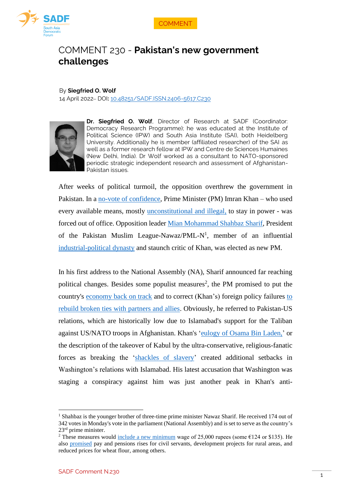



# COMMENT 230 - **Pakistan's new government challenges**

#### By **Siegfried O. Wolf**

14 April 2022– DOI**:** [10.48251/SADF.ISSN.2406-5617.C230](https://doi.org/10.48251/SADF.ISSN.2406-5617.C230)



**Dr. Siegfried O. Wolf**, Director of Research at SADF (Coordinator: Democracy Research Programme); he was educated at the Institute of Political Science (IPW) and South Asia Institute (SAI), both Heidelberg University. Additionally he is member (affiliated researcher) of the SAI as well as a former research fellow at IPW and Centre de Sciences Humaines (New Delhi, India). Dr Wolf worked as a consultant to NATO-sponsored periodic strategic independent research and assessment of Afghanistan-Pakistan issues.

After weeks of political turmoil, the opposition overthrew the government in Pakistan. In a [no-vote of confidence,](https://www.dawn.com/news/1684168) Prime Minister (PM) Imran Khan – who used every available means, mostly [unconstitutional and illegal,](https://www.dawn.com/news/1684626/quiet-before-the-storm) to stay in power - was forced out of office. Opposition leader [Mian Mohammad Shahbaz Sharif,](https://www.dawn.com/news/1684500/shehbaz-sharif-elected-prime-minister-of-pakistan) President of the Pakistan Muslim League-Nawaz/PML-N<sup>1</sup>, member of an influential [industrial-political dynasty](https://www.aljazeera.com/news/2022/4/11/shehbaz-sharif-elected-as-pakistans-new-prime-minister-2) and staunch critic of Khan, was elected as new PM.

In his first address to the National Assembly (NA), Sharif announced far reaching political changes. Besides some populist measures<sup>2</sup>, the PM promised to put the country's [economy back on track](https://www.aljazeera.com/news/2022/4/11/pakistan-live-updates-parliament-set-to-elect-new-pm-liveblog) and to correct (Khan's) foreign policy failures [to](https://www.aljazeera.com/news/2022/4/11/shehbaz-sharif-elected-as-pakistans-new-prime-minister-2)  [rebuild broken ties with partners and allies.](https://www.aljazeera.com/news/2022/4/11/shehbaz-sharif-elected-as-pakistans-new-prime-minister-2) Obviously, he referred to Pakistan-US relations, which are historically low due to Islamabad's support for the Taliban against US/NATO troops in Afghanistan. Khan's ['eulogy of Osama Bin Laden,](https://www.sadf.eu/comment-192-contextualising-pakistans-prime-ministers-parliamentary-eulogy-of-osama-bin-laden/)' or the description of the takeover of Kabul by the ultra-conservative, religious-fanatic forces as breaking the ['shackles of slavery'](https://www.dawn.com/news/1640988) created additional setbacks in Washington's relations with Islamabad. His latest accusation that Washington was staging a conspiracy against him was just another peak in Khan's anti-

<sup>&</sup>lt;sup>1</sup> Shahbaz is the younger brother of three-time prime minister Nawaz Sharif. He received 174 out of 342 votes in Monday's vote in the parliament (National Assembly) and is set to serve as the country's 23rd prime minister.

<sup>&</sup>lt;sup>2</sup> These measures would include [a new minimum](https://www.dw.com/en/pakistan-shahbaz-sharif-sworn-in-as-new-prime-minister/a-61431139) wage of 25,000 rupees (some  $\epsilon$ 124 or \$135). He also [promised](https://www.dawn.com/news/1684500/shehbaz-sharif-elected-prime-minister-of-pakistan) pay and pensions rises for civil servants, development projects for rural areas, and reduced prices for wheat flour, among others.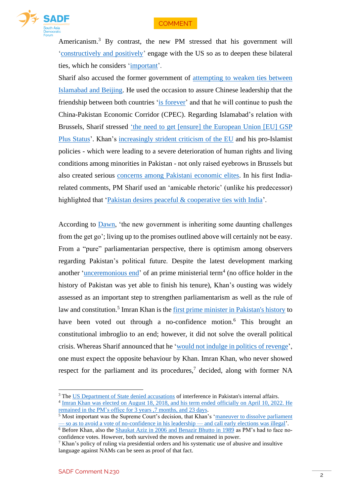### **COMMENT**



Americanism. <sup>3</sup> By contrast, the new PM stressed that his government will ['constructively and positively'](https://www.voanews.com/a/pakistan-to-seek-deepening-of-important-ties-with-us-/6526760.html) engage with the US so as to deepen these bilateral ties, which he considers ['important'](https://www.voanews.com/a/pakistan-to-seek-deepening-of-important-ties-with-us-/6526760.html).

Sharif also accused the former government of [attempting to weaken ties between](https://www.dawn.com/news/1684500/shehbaz-sharif-elected-prime-minister-of-pakistan)  [Islamabad and Beijing.](https://www.dawn.com/news/1684500/shehbaz-sharif-elected-prime-minister-of-pakistan) He used the occasion to assure Chinese leadership that the friendship between both countries ['is forever'](https://www.dawn.com/news/1684500/shehbaz-sharif-elected-prime-minister-of-pakistan) and that he will continue to push the China-Pakistan Economic Corridor (CPEC). Regarding Islamabad's relation with Brussels, Sharif stressed ['the need to get](https://www.dawn.com/news/1684500/shehbaz-sharif-elected-prime-minister-of-pakistan) [ensure] the European Union [EU] GSP [Plus Status'](https://www.dawn.com/news/1684500/shehbaz-sharif-elected-prime-minister-of-pakistan). Khan's [increasingly strident criticism of the EU](https://www.dw.com/en/opinion-political-chaos-doesnt-augur-well-for-pakistans-democracy/a-61412289) and his pro-Islamist policies - which were leading to a severe deterioration of human rights and living conditions among minorities in Pakistan - not only raised eyebrows in Brussels but also created serious [concerns among Pakistani](https://www.dw.com/en/opinion-political-chaos-doesnt-augur-well-for-pakistans-democracy/a-61412289) economic elites. In his first Indiarelated comments, PM Sharif used an 'amicable rhetoric' (unlike his predecessor) highlighted that ['Pakistan desires peaceful & cooperative ties with India'](https://www.voanews.com/a/pakistan-to-seek-deepening-of-important-ties-with-us-/6526760.html).

According to [Dawn,](https://www.dawn.com/news/1684622/new-pms-challenge) 'the new government is inheriting some daunting challenges from the get go'; living up to the promises outlined above will certainly not be easy. From a "pure" parliamentarian perspective, there is optimism among observers regarding Pakistan's political future. Despite the latest development marking another ['unceremonious end'](https://www.dawn.com/news/1684168) of an prime ministerial term<sup>4</sup> (no office holder in the history of Pakistan was yet able to finish his tenure), Khan's ousting was widely assessed as an important step to strengthen parliamentarism as well as the rule of law and constitution.<sup>5</sup> Imran Khan is th[e first prime minister in Pakistan's history](https://www.thenews.com.pk/latest/948739-live-updates-na-to-vote-on-no-confidence-motion-against-pm-imran-khan) to have been voted out through a no-confidence motion.<sup>6</sup> This brought an constitutional imbroglio to an end; however, it did not solve the overall political crisis. Whereas Sharif announced that he ['would not indulge in politics of revenge'](https://www.dawn.com/news/1684168), one must expect the opposite behaviour by Khan. Imran Khan, who never showed respect for the parliament and its procedures, $\frac{7}{1}$  decided, along with former NA

<sup>&</sup>lt;sup>3</sup> The [US Department of State denied accusations](https://www.dw.com/en/pakistan-shahbaz-sharif-sworn-in-as-new-prime-minister/a-61431139) of interference in Pakistan's internal affairs.

<sup>&</sup>lt;sup>4</sup> Imran Khan was elected on August 18, 2018, and his term ended officially on April 10, 2022. He [remained in the PM's office](https://www.thenews.com.pk/latest/948739-live-updates-na-to-vote-on-no-confidence-motion-against-pm-imran-khan) for 3 years ,7 months, and 23 days.

<sup>&</sup>lt;sup>5</sup> Most important was the Supreme Court's decision, that Khan's 'maneuver to dissolve parliament — so as [to avoid a vote of no-confidence in his leadership —](https://www.dw.com/en/opinion-political-chaos-doesnt-augur-well-for-pakistans-democracy/a-61412289) and call early elections was illegal'.

<sup>&</sup>lt;sup>6</sup> Before Khan, also the [Shaukat Aziz in 2006 and Benazir Bhutto in 1989](https://www.dawn.com/news/1684168) as PM's had to face noconfidence votes. However, both survived the moves and remained in power.

 $7$  Khan's policy of ruling via presidential orders and his systematic use of abusive and insultive language against NAMs can be seen as proof of that fact.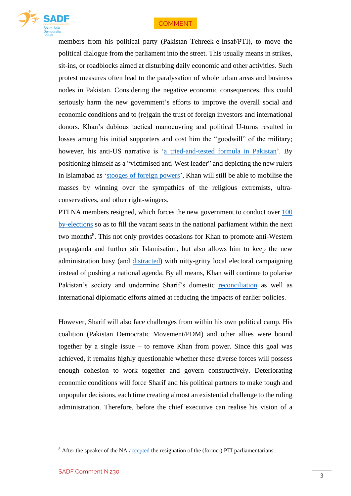## **COMMENT**



members from his political party (Pakistan Tehreek-e-Insaf/PTI), to move the political dialogue from the parliament into the street. This usually means in strikes, sit-ins, or roadblocks aimed at disturbing daily economic and other activities. Such protest measures often lead to the paralysation of whole urban areas and business nodes in Pakistan. Considering the negative economic consequences, this could seriously harm the new government's efforts to improve the overall social and economic conditions and to (re)gain the trust of foreign investors and international donors. Khan's dubious tactical manoeuvring and political U-turns resulted in losses among his initial supporters and cost him the "goodwill" of the military; however, his anti-US narrative is ['a tried-and-tested formula in Pakistan'](https://www.dw.com/en/opinion-political-chaos-doesnt-augur-well-for-pakistans-democracy/a-61412289). By positioning himself as a "victimised anti-West leader" and depicting the new rulers in Islamabad as ['stooges of foreign powers'](https://www.dw.com/en/opinion-political-chaos-doesnt-augur-well-for-pakistans-democracy/a-61412289), Khan will still be able to mobilise the masses by winning over the sympathies of the religious extremists, ultraconservatives, and other right-wingers.

PTI NA members resigned, which forces the new government to conduct over [100](https://www.reuters.com/world/asia-pacific/pakistans-parliament-set-elect-new-prime-minister-2022-04-11/)  [by-elections](https://www.reuters.com/world/asia-pacific/pakistans-parliament-set-elect-new-prime-minister-2022-04-11/) so as to fill the vacant seats in the national parliament within the next two months<sup>8</sup>. This not only provides occasions for Khan to promote anti-Western propaganda and further stir Islamisation, but also allows him to keep the new administration busy (and [distracted\)](https://www.reuters.com/world/asia-pacific/pakistans-parliament-set-elect-new-prime-minister-2022-04-11/) with nitty-gritty local electoral campaigning instead of pushing a national agenda. By all means, Khan will continue to polarise Pakistan's society and undermine Sharif's domestic [reconciliation](https://www.aljazeera.com/news/2022/4/11/pakistan-live-updates-parliament-set-to-elect-new-pm-liveblog) as well as international diplomatic efforts aimed at reducing the impacts of earlier policies.

However, Sharif will also face challenges from within his own political camp. His coalition (Pakistan Democratic Movement/PDM) and other allies were bound together by a single issue – to remove Khan from power. Since this goal was achieved, it remains highly questionable whether these diverse forces will possess enough cohesion to work together and govern constructively. Deteriorating economic conditions will force Sharif and his political partners to make tough and unpopular decisions, each time creating almost an existential challenge to the ruling administration. Therefore, before the chief executive can realise his vision of a

<sup>&</sup>lt;sup>8</sup> After the speaker of the NA [accepted](https://www.reuters.com/world/asia-pacific/pakistans-parliament-set-elect-new-prime-minister-2022-04-11/) the resignation of the (former) PTI parliamentarians.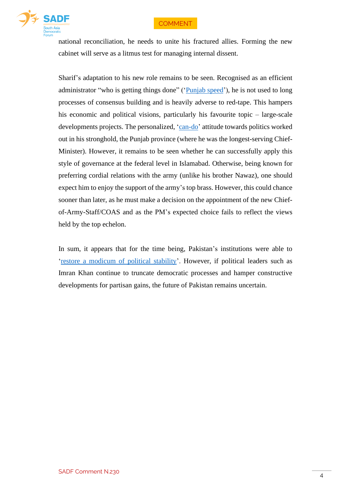



national reconciliation, he needs to unite his fractured allies. Forming the new cabinet will serve as a litmus test for managing internal dissent.

Sharif's adaptation to his new role remains to be seen. Recognised as an efficient administrator "who is getting things done" (['Punjab speed'](https://www.reuters.com/article/us-pakistan-politics-sharif-idCAKCN2M10HJ)), he is not used to long processes of consensus building and is heavily adverse to red-tape. This hampers his economic and political visions, particularly his favourite topic – large-scale developments projects. The personalized, ['can-do'](https://www.reuters.com/article/us-pakistan-politics-sharif-idCAKCN2M10HJ) attitude towards politics worked out in his stronghold, the Punjab province (where he was the longest-serving Chief-Minister). However, it remains to be seen whether he can successfully apply this style of governance at the federal level in Islamabad. Otherwise, being known for preferring cordial relations with the army (unlike his brother Nawaz), one should expect him to enjoy the support of the army's top brass. However, this could chance sooner than later, as he must make a decision on the appointment of the new Chiefof-Army-Staff/COAS and as the PM's expected choice fails to reflect the views held by the top echelon.

In sum, it appears that for the time being, Pakistan's institutions were able to ['restore a modicum of political stability'](https://www.dw.com/en/opinion-political-chaos-doesnt-augur-well-for-pakistans-democracy/a-61412289). However, if political leaders such as Imran Khan continue to truncate democratic processes and hamper constructive developments for partisan gains, the future of Pakistan remains uncertain.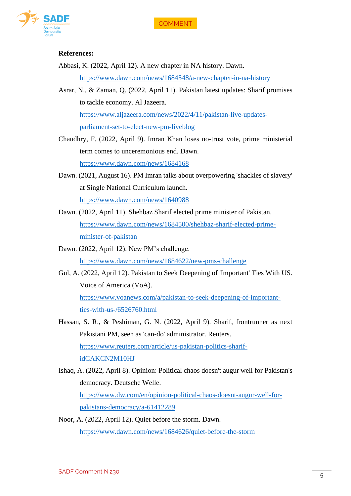

#### **References:**

Abbasi, K. (2022, April 12). A new chapter in NA history. Dawn.

<https://www.dawn.com/news/1684548/a-new-chapter-in-na-history>

- Asrar, N., & Zaman, Q. (2022, April 11). Pakistan latest updates: Sharif promises to tackle economy. Al Jazeera. [https://www.aljazeera.com/news/2022/4/11/pakistan-live-updates](https://www.aljazeera.com/news/2022/4/11/pakistan-live-updates-parliament-set-to-elect-new-pm-liveblog)[parliament-set-to-elect-new-pm-liveblog](https://www.aljazeera.com/news/2022/4/11/pakistan-live-updates-parliament-set-to-elect-new-pm-liveblog)
- Chaudhry, F. (2022, April 9). Imran Khan loses no-trust vote, prime ministerial term comes to unceremonious end. Dawn. <https://www.dawn.com/news/1684168>

Dawn. (2021, August 16). PM Imran talks about overpowering 'shackles of slavery' at Single National Curriculum launch.

<https://www.dawn.com/news/1640988>

- Dawn. (2022, April 11). Shehbaz Sharif elected prime minister of Pakistan. [https://www.dawn.com/news/1684500/shehbaz-sharif-elected-prime](https://www.dawn.com/news/1684500/shehbaz-sharif-elected-prime-minister-of-pakistan)[minister-of-pakistan](https://www.dawn.com/news/1684500/shehbaz-sharif-elected-prime-minister-of-pakistan)
- Dawn. (2022, April 12). New PM's challenge. <https://www.dawn.com/news/1684622/new-pms-challenge>
- Gul, A. (2022, April 12). Pakistan to Seek Deepening of 'Important' Ties With US. Voice of America (VoA). [https://www.voanews.com/a/pakistan-to-seek-deepening-of-important-](https://www.voanews.com/a/pakistan-to-seek-deepening-of-important-ties-with-us-/6526760.html)

[ties-with-us-/6526760.html](https://www.voanews.com/a/pakistan-to-seek-deepening-of-important-ties-with-us-/6526760.html)

- Hassan, S. R., & Peshiman, G. N. (2022, April 9). Sharif, frontrunner as next Pakistani PM, seen as 'can-do' administrator. Reuters. [https://www.reuters.com/article/us-pakistan-politics-sharif](https://www.reuters.com/article/us-pakistan-politics-sharif-idCAKCN2M10HJ)[idCAKCN2M10HJ](https://www.reuters.com/article/us-pakistan-politics-sharif-idCAKCN2M10HJ)
- Ishaq, A. (2022, April 8). Opinion: Political chaos doesn't augur well for Pakistan's democracy. Deutsche Welle. [https://www.dw.com/en/opinion-political-chaos-doesnt-augur-well-for](https://www.dw.com/en/opinion-political-chaos-doesnt-augur-well-for-pakistans-democracy/a-61412289)[pakistans-democracy/a-61412289](https://www.dw.com/en/opinion-political-chaos-doesnt-augur-well-for-pakistans-democracy/a-61412289)
- Noor, A. (2022, April 12). Quiet before the storm. Dawn. <https://www.dawn.com/news/1684626/quiet-before-the-storm>